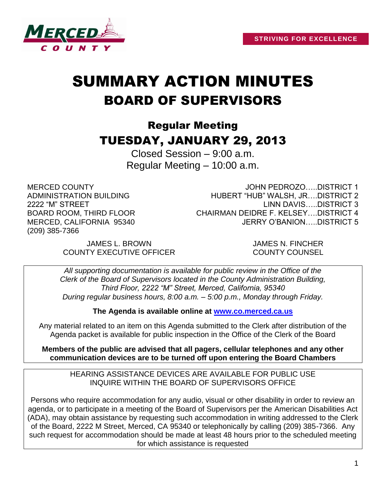

# SUMMARY ACTION MINUTES BOARD OF SUPERVISORS

## Regular Meeting TUESDAY, JANUARY 29, 2013

Closed Session – 9:00 a.m. Regular Meeting – 10:00 a.m.

MERCED COUNTY ADMINISTRATION BUILDING 2222 "M" STREET BOARD ROOM, THIRD FLOOR MERCED, CALIFORNIA 95340 (209) 385-7366

JOHN PEDROZO…..DISTRICT 1 HUBERT "HUB" WALSH, JR….DISTRICT 2 LINN DAVIS…..DISTRICT 3 CHAIRMAN DEIDRE F. KELSEY….DISTRICT 4 JERRY O'BANION…..DISTRICT 5

JAMES L. BROWN JAMES N. FINCHER COUNTY EXECUTIVE OFFICER COUNTY COUNSEL

*All supporting documentation is available for public review in the Office of the Clerk of the Board of Supervisors located in the County Administration Building, Third Floor, 2222 "M" Street, Merced, California, 95340 During regular business hours, 8:00 a.m. – 5:00 p.m., Monday through Friday.*

**The Agenda is available online at [www.co.merced.ca.us](http://www.co.merced.ca.us/)**

Any material related to an item on this Agenda submitted to the Clerk after distribution of the Agenda packet is available for public inspection in the Office of the Clerk of the Board

**Members of the public are advised that all pagers, cellular telephones and any other communication devices are to be turned off upon entering the Board Chambers**

HEARING ASSISTANCE DEVICES ARE AVAILABLE FOR PUBLIC USE INQUIRE WITHIN THE BOARD OF SUPERVISORS OFFICE

Persons who require accommodation for any audio, visual or other disability in order to review an agenda, or to participate in a meeting of the Board of Supervisors per the American Disabilities Act (ADA), may obtain assistance by requesting such accommodation in writing addressed to the Clerk of the Board, 2222 M Street, Merced, CA 95340 or telephonically by calling (209) 385-7366. Any such request for accommodation should be made at least 48 hours prior to the scheduled meeting for which assistance is requested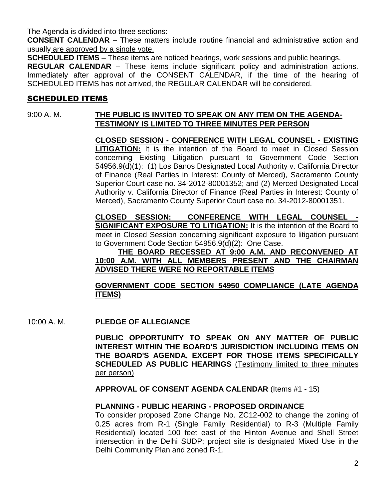The Agenda is divided into three sections:

**CONSENT CALENDAR** – These matters include routine financial and administrative action and usually are approved by a single vote.

**SCHEDULED ITEMS** – These items are noticed hearings, work sessions and public hearings.

**REGULAR CALENDAR** – These items include significant policy and administration actions. Immediately after approval of the CONSENT CALENDAR, if the time of the hearing of SCHEDULED ITEMS has not arrived, the REGULAR CALENDAR will be considered.

## SCHEDULED ITEMS

### 9:00 A. M. **THE PUBLIC IS INVITED TO SPEAK ON ANY ITEM ON THE AGENDA-TESTIMONY IS LIMITED TO THREE MINUTES PER PERSON**

**CLOSED SESSION - CONFERENCE WITH LEGAL COUNSEL - EXISTING LITIGATION:** It is the intention of the Board to meet in Closed Session concerning Existing Litigation pursuant to Government Code Section 54956.9(d)(1): (1) Los Banos Designated Local Authority v. California Director of Finance (Real Parties in Interest: County of Merced), Sacramento County Superior Court case no. 34-2012-80001352; and (2) Merced Designated Local Authority v. California Director of Finance (Real Parties in Interest: County of Merced), Sacramento County Superior Court case no. 34-2012-80001351.

**CLOSED SESSION: CONFERENCE WITH LEGAL COUNSEL - SIGNIFICANT EXPOSURE TO LITIGATION:** It is the intention of the Board to meet in Closed Session concerning significant exposure to litigation pursuant to Government Code Section 54956.9(d)(2): One Case.

#### **THE BOARD RECESSED AT 9:00 A.M. AND RECONVENED AT 10:00 A.M. WITH ALL MEMBERS PRESENT AND THE CHAIRMAN ADVISED THERE WERE NO REPORTABLE ITEMS**

#### **GOVERNMENT CODE SECTION 54950 COMPLIANCE (LATE AGENDA ITEMS)**

10:00 A. M. **PLEDGE OF ALLEGIANCE**

**PUBLIC OPPORTUNITY TO SPEAK ON ANY MATTER OF PUBLIC INTEREST WITHIN THE BOARD'S JURISDICTION INCLUDING ITEMS ON THE BOARD'S AGENDA, EXCEPT FOR THOSE ITEMS SPECIFICALLY SCHEDULED AS PUBLIC HEARINGS** (Testimony limited to three minutes per person)

**APPROVAL OF CONSENT AGENDA CALENDAR** (Items #1 - 15)

#### **PLANNING - PUBLIC HEARING - PROPOSED ORDINANCE**

To consider proposed Zone Change No. ZC12-002 to change the zoning of 0.25 acres from R-1 (Single Family Residential) to R-3 (Multiple Family Residential) located 100 feet east of the Hinton Avenue and Shell Street intersection in the Delhi SUDP; project site is designated Mixed Use in the Delhi Community Plan and zoned R-1.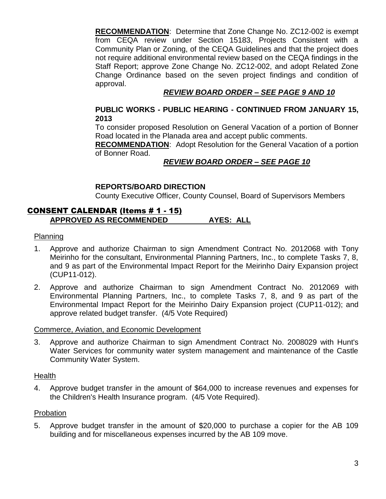**RECOMMENDATION**: Determine that Zone Change No. ZC12-002 is exempt from CEQA review under Section 15183, Projects Consistent with a Community Plan or Zoning, of the CEQA Guidelines and that the project does not require additional environmental review based on the CEQA findings in the Staff Report; approve Zone Change No. ZC12-002, and adopt Related Zone Change Ordinance based on the seven project findings and condition of approval.

## *REVIEW BOARD ORDER – SEE PAGE 9 AND 10*

#### **PUBLIC WORKS - PUBLIC HEARING - CONTINUED FROM JANUARY 15, 2013**

To consider proposed Resolution on General Vacation of a portion of Bonner Road located in the Planada area and accept public comments.

**RECOMMENDATION**: Adopt Resolution for the General Vacation of a portion of Bonner Road.

#### *REVIEW BOARD ORDER – SEE PAGE 10*

#### **REPORTS/BOARD DIRECTION**

County Executive Officer, County Counsel, Board of Supervisors Members

## CONSENT CALENDAR (Items # 1 - 15) **APPROVED AS RECOMMENDED AYES: ALL**

#### Planning

- 1. Approve and authorize Chairman to sign Amendment Contract No. 2012068 with Tony Meirinho for the consultant, Environmental Planning Partners, Inc., to complete Tasks 7, 8, and 9 as part of the Environmental Impact Report for the Meirinho Dairy Expansion project (CUP11-012).
- 2. Approve and authorize Chairman to sign Amendment Contract No. 2012069 with Environmental Planning Partners, Inc., to complete Tasks 7, 8, and 9 as part of the Environmental Impact Report for the Meirinho Dairy Expansion project (CUP11-012); and approve related budget transfer. (4/5 Vote Required)

#### Commerce, Aviation, and Economic Development

3. Approve and authorize Chairman to sign Amendment Contract No. 2008029 with Hunt's Water Services for community water system management and maintenance of the Castle Community Water System.

#### Health

4. Approve budget transfer in the amount of \$64,000 to increase revenues and expenses for the Children's Health Insurance program. (4/5 Vote Required).

#### Probation

5. Approve budget transfer in the amount of \$20,000 to purchase a copier for the AB 109 building and for miscellaneous expenses incurred by the AB 109 move.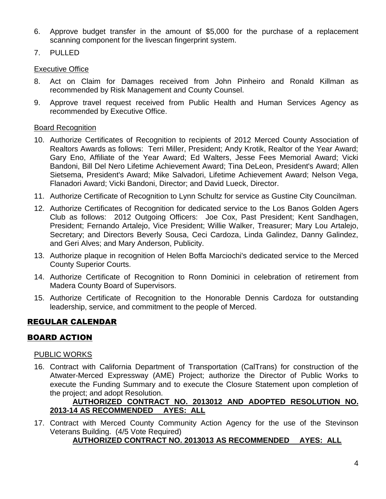- 6. Approve budget transfer in the amount of \$5,000 for the purchase of a replacement scanning component for the livescan fingerprint system.
- 7. PULLED

#### **Executive Office**

- 8. Act on Claim for Damages received from John Pinheiro and Ronald Killman as recommended by Risk Management and County Counsel.
- 9. Approve travel request received from Public Health and Human Services Agency as recommended by Executive Office.

#### **Board Recognition**

- 10. Authorize Certificates of Recognition to recipients of 2012 Merced County Association of Realtors Awards as follows: Terri Miller, President; Andy Krotik, Realtor of the Year Award; Gary Eno, Affiliate of the Year Award; Ed Walters, Jesse Fees Memorial Award; Vicki Bandoni, Bill Del Nero Lifetime Achievement Award; Tina DeLeon, President's Award; Allen Sietsema, President's Award; Mike Salvadori, Lifetime Achievement Award; Nelson Vega, Flanadori Award; Vicki Bandoni, Director; and David Lueck, Director.
- 11. Authorize Certificate of Recognition to Lynn Schultz for service as Gustine City Councilman.
- 12. Authorize Certificates of Recognition for dedicated service to the Los Banos Golden Agers Club as follows: 2012 Outgoing Officers: Joe Cox, Past President; Kent Sandhagen, President; Fernando Artalejo, Vice President; Willie Walker, Treasurer; Mary Lou Artalejo, Secretary; and Directors Beverly Sousa, Ceci Cardoza, Linda Galindez, Danny Galindez, and Geri Alves; and Mary Anderson, Publicity.
- 13. Authorize plaque in recognition of Helen Boffa Marciochi's dedicated service to the Merced County Superior Courts.
- 14. Authorize Certificate of Recognition to Ronn Dominici in celebration of retirement from Madera County Board of Supervisors.
- 15. Authorize Certificate of Recognition to the Honorable Dennis Cardoza for outstanding leadership, service, and commitment to the people of Merced.

## REGULAR CALENDAR

## BOARD ACTION

#### PUBLIC WORKS

16. Contract with California Department of Transportation (CalTrans) for construction of the Atwater-Merced Expressway (AME) Project; authorize the Director of Public Works to execute the Funding Summary and to execute the Closure Statement upon completion of the project; and adopt Resolution.

#### **AUTHORIZED CONTRACT NO. 2013012 AND ADOPTED RESOLUTION NO. 2013-14 AS RECOMMENDED AYES: ALL**

17. Contract with Merced County Community Action Agency for the use of the Stevinson Veterans Building. (4/5 Vote Required)

## **AUTHORIZED CONTRACT NO. 2013013 AS RECOMMENDED AYES: ALL**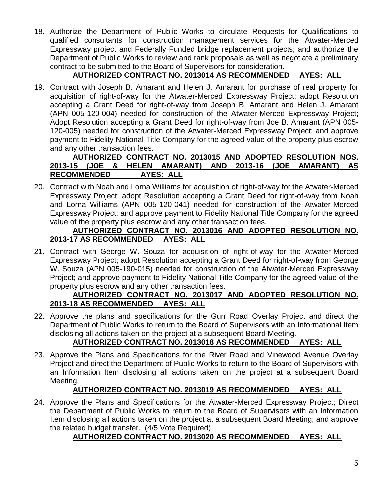18. Authorize the Department of Public Works to circulate Requests for Qualifications to qualified consultants for construction management services for the Atwater-Merced Expressway project and Federally Funded bridge replacement projects; and authorize the Department of Public Works to review and rank proposals as well as negotiate a preliminary contract to be submitted to the Board of Supervisors for consideration.

## **AUTHORIZED CONTRACT NO. 2013014 AS RECOMMENDED AYES: ALL**

19. Contract with Joseph B. Amarant and Helen J. Amarant for purchase of real property for acquisition of right-of-way for the Atwater-Merced Expressway Project; adopt Resolution accepting a Grant Deed for right-of-way from Joseph B. Amarant and Helen J. Amarant (APN 005-120-004) needed for construction of the Atwater-Merced Expressway Project; Adopt Resolution accepting a Grant Deed for right-of-way from Joe B. Amarant (APN 005- 120-005) needed for construction of the Atwater-Merced Expressway Project; and approve payment to Fidelity National Title Company for the agreed value of the property plus escrow and any other transaction fees.

## **AUTHORIZED CONTRACT NO. 2013015 AND ADOPTED RESOLUTION NOS. 2013-15 (JOE & HELEN AMARANT) AND 2013-16 (JOE AMARANT) AS RECOMMENDED AYES: ALL**

20. Contract with Noah and Lorna Williams for acquisition of right-of-way for the Atwater-Merced Expressway Project; adopt Resolution accepting a Grant Deed for right-of-way from Noah and Lorna Williams (APN 005-120-041) needed for construction of the Atwater-Merced Expressway Project; and approve payment to Fidelity National Title Company for the agreed value of the property plus escrow and any other transaction fees.

### **AUTHORIZED CONTRACT NO. 2013016 AND ADOPTED RESOLUTION NO. 2013-17 AS RECOMMENDED AYES: ALL**

21. Contract with George W. Souza for acquisition of right-of-way for the Atwater-Merced Expressway Project; adopt Resolution accepting a Grant Deed for right-of-way from George W. Souza (APN 005-190-015) needed for construction of the Atwater-Merced Expressway Project; and approve payment to Fidelity National Title Company for the agreed value of the property plus escrow and any other transaction fees.

#### **AUTHORIZED CONTRACT NO. 2013017 AND ADOPTED RESOLUTION NO. 2013-18 AS RECOMMENDED AYES: ALL**

22. Approve the plans and specifications for the Gurr Road Overlay Project and direct the Department of Public Works to return to the Board of Supervisors with an Informational Item disclosing all actions taken on the project at a subsequent Board Meeting.

## **AUTHORIZED CONTRACT NO. 2013018 AS RECOMMENDED AYES: ALL**

23. Approve the Plans and Specifications for the River Road and Vinewood Avenue Overlay Project and direct the Department of Public Works to return to the Board of Supervisors with an Information Item disclosing all actions taken on the project at a subsequent Board Meeting.

## **AUTHORIZED CONTRACT NO. 2013019 AS RECOMMENDED AYES: ALL**

24. Approve the Plans and Specifications for the Atwater-Merced Expressway Project; Direct the Department of Public Works to return to the Board of Supervisors with an Information Item disclosing all actions taken on the project at a subsequent Board Meeting; and approve the related budget transfer. (4/5 Vote Required)

## **AUTHORIZED CONTRACT NO. 2013020 AS RECOMMENDED AYES: ALL**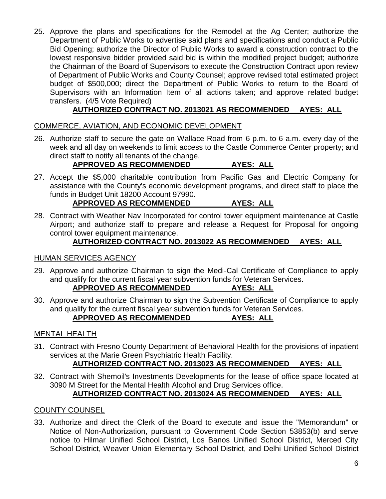25. Approve the plans and specifications for the Remodel at the Ag Center; authorize the Department of Public Works to advertise said plans and specifications and conduct a Public Bid Opening; authorize the Director of Public Works to award a construction contract to the lowest responsive bidder provided said bid is within the modified project budget; authorize the Chairman of the Board of Supervisors to execute the Construction Contract upon review of Department of Public Works and County Counsel; approve revised total estimated project budget of \$500,000; direct the Department of Public Works to return to the Board of Supervisors with an Information Item of all actions taken; and approve related budget transfers. (4/5 Vote Required)

## **AUTHORIZED CONTRACT NO. 2013021 AS RECOMMENDED AYES: ALL**

## COMMERCE, AVIATION, AND ECONOMIC DEVELOPMENT

26. Authorize staff to secure the gate on Wallace Road from 6 p.m. to 6 a.m. every day of the week and all day on weekends to limit access to the Castle Commerce Center property; and direct staff to notify all tenants of the change.

## **APPROVED AS RECOMMENDED AYES: ALL**

27. Accept the \$5,000 charitable contribution from Pacific Gas and Electric Company for assistance with the County's economic development programs, and direct staff to place the funds in Budget Unit 18200 Account 97990.

## **APPROVED AS RECOMMENDED AYES: ALL**

28. Contract with Weather Nav Incorporated for control tower equipment maintenance at Castle Airport; and authorize staff to prepare and release a Request for Proposal for ongoing control tower equipment maintenance.

## **AUTHORIZED CONTRACT NO. 2013022 AS RECOMMENDED AYES: ALL**

#### HUMAN SERVICES AGENCY

29. Approve and authorize Chairman to sign the Medi-Cal Certificate of Compliance to apply and qualify for the current fiscal year subvention funds for Veteran Services.

#### **APPROVED AS RECOMMENDED AYES: ALL**

30. Approve and authorize Chairman to sign the Subvention Certificate of Compliance to apply and qualify for the current fiscal year subvention funds for Veteran Services.

## **APPROVED AS RECOMMENDED AYES: ALL**

## MENTAL HEALTH

31. Contract with Fresno County Department of Behavioral Health for the provisions of inpatient services at the Marie Green Psychiatric Health Facility.

## **AUTHORIZED CONTRACT NO. 2013023 AS RECOMMENDED AYES: ALL**

32. Contract with Shemoil's Investments Developments for the lease of office space located at 3090 M Street for the Mental Health Alcohol and Drug Services office.

## **AUTHORIZED CONTRACT NO. 2013024 AS RECOMMENDED AYES: ALL**

## COUNTY COUNSEL

33. Authorize and direct the Clerk of the Board to execute and issue the "Memorandum" or Notice of Non-Authorization, pursuant to Government Code Section 53853(b) and serve notice to Hilmar Unified School District, Los Banos Unified School District, Merced City School District, Weaver Union Elementary School District, and Delhi Unified School District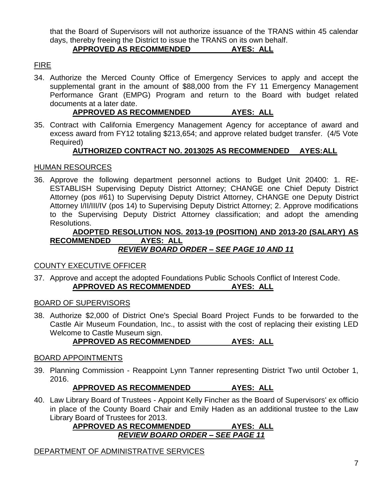that the Board of Supervisors will not authorize issuance of the TRANS within 45 calendar days, thereby freeing the District to issue the TRANS on its own behalf.

## **APPROVED AS RECOMMENDED AYES: ALL**

## FIRE

34. Authorize the Merced County Office of Emergency Services to apply and accept the supplemental grant in the amount of \$88,000 from the FY 11 Emergency Management Performance Grant (EMPG) Program and return to the Board with budget related documents at a later date.

## **APPROVED AS RECOMMENDED AYES: ALL**

35. Contract with California Emergency Management Agency for acceptance of award and excess award from FY12 totaling \$213,654; and approve related budget transfer. (4/5 Vote Required)

## **AUTHORIZED CONTRACT NO. 2013025 AS RECOMMENDED AYES:ALL**

## HUMAN RESOURCES

36. Approve the following department personnel actions to Budget Unit 20400: 1. RE-ESTABLISH Supervising Deputy District Attorney; CHANGE one Chief Deputy District Attorney (pos #61) to Supervising Deputy District Attorney, CHANGE one Deputy District Attorney I/II/III/IV (pos 14) to Supervising Deputy District Attorney; 2. Approve modifications to the Supervising Deputy District Attorney classification; and adopt the amending Resolutions.

#### **ADOPTED RESOLUTION NOS. 2013-19 (POSITION) AND 2013-20 (SALARY) AS RECOMMENDED AYES: ALL** *REVIEW BOARD ORDER – SEE PAGE 10 AND 11*

## COUNTY EXECUTIVE OFFICER

37. Approve and accept the adopted Foundations Public Schools Conflict of Interest Code. **APPROVED AS RECOMMENDED AYES: ALL**

## BOARD OF SUPERVISORS

38. Authorize \$2,000 of District One's Special Board Project Funds to be forwarded to the Castle Air Museum Foundation, Inc., to assist with the cost of replacing their existing LED Welcome to Castle Museum sign.

## **APPROVED AS RECOMMENDED AYES: ALL**

## BOARD APPOINTMENTS

39. Planning Commission - Reappoint Lynn Tanner representing District Two until October 1, 2016.

**APPROVED AS RECOMMENDED AYES: ALL**

40. Law Library Board of Trustees - Appoint Kelly Fincher as the Board of Supervisors' ex officio in place of the County Board Chair and Emily Haden as an additional trustee to the Law Library Board of Trustees for 2013.

#### **APPROVED AS RECOMMENDED AYES: ALL** *REVIEW BOARD ORDER – SEE PAGE 11*

## DEPARTMENT OF ADMINISTRATIVE SERVICES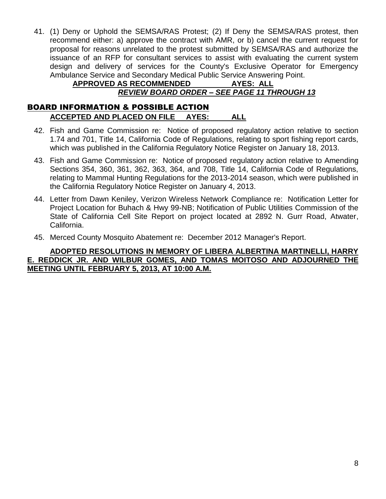41. (1) Deny or Uphold the SEMSA/RAS Protest; (2) If Deny the SEMSA/RAS protest, then recommend either: a) approve the contract with AMR, or b) cancel the current request for proposal for reasons unrelated to the protest submitted by SEMSA/RAS and authorize the issuance of an RFP for consultant services to assist with evaluating the current system design and delivery of services for the County's Exclusive Operator for Emergency Ambulance Service and Secondary Medical Public Service Answering Point.

### **APPROVED AS RECOMMENDED AYES: ALL** *REVIEW BOARD ORDER – SEE PAGE 11 THROUGH 13*

## BOARD INFORMATION & POSSIBLE ACTION **ACCEPTED AND PLACED ON FILE AYES: ALL**

- 42. Fish and Game Commission re: Notice of proposed regulatory action relative to section 1.74 and 701, Title 14, California Code of Regulations, relating to sport fishing report cards, which was published in the California Regulatory Notice Register on January 18, 2013.
- 43. Fish and Game Commission re: Notice of proposed regulatory action relative to Amending Sections 354, 360, 361, 362, 363, 364, and 708, Title 14, California Code of Regulations, relating to Mammal Hunting Regulations for the 2013-2014 season, which were published in the California Regulatory Notice Register on January 4, 2013.
- 44. Letter from Dawn Keniley, Verizon Wireless Network Compliance re: Notification Letter for Project Location for Buhach & Hwy 99-NB; Notification of Public Utilities Commission of the State of California Cell Site Report on project located at 2892 N. Gurr Road, Atwater, California.
- 45. Merced County Mosquito Abatement re: December 2012 Manager's Report.

#### **ADOPTED RESOLUTIONS IN MEMORY OF LIBERA ALBERTINA MARTINELLI, HARRY E. REDDICK JR. AND WILBUR GOMES, AND TOMAS MOITOSO AND ADJOURNED THE MEETING UNTIL FEBRUARY 5, 2013, AT 10:00 A.M.**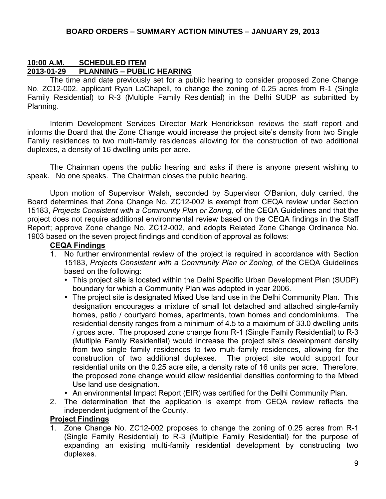#### **10:00 A.M. SCHEDULED ITEM 2013-01-29 PLANNING – PUBLIC HEARING**

The time and date previously set for a public hearing to consider proposed Zone Change No. ZC12-002, applicant Ryan LaChapell, to change the zoning of 0.25 acres from R-1 (Single Family Residential) to R-3 (Multiple Family Residential) in the Delhi SUDP as submitted by Planning.

Interim Development Services Director Mark Hendrickson reviews the staff report and informs the Board that the Zone Change would increase the project site's density from two Single Family residences to two multi-family residences allowing for the construction of two additional duplexes, a density of 16 dwelling units per acre.

The Chairman opens the public hearing and asks if there is anyone present wishing to speak. No one speaks. The Chairman closes the public hearing.

Upon motion of Supervisor Walsh, seconded by Supervisor O'Banion, duly carried, the Board determines that Zone Change No. ZC12-002 is exempt from CEQA review under Section 15183, *Projects Consistent with a Community Plan or Zoning*, of the CEQA Guidelines and that the project does not require additional environmental review based on the CEQA findings in the Staff Report; approve Zone change No. ZC12-002, and adopts Related Zone Change Ordinance No. 1903 based on the seven project findings and condition of approval as follows:

#### **CEQA Findings**

- 1. No further environmental review of the project is required in accordance with Section 15183, *Projects Consistent with a Community Plan or Zoning,* of the CEQA Guidelines based on the following:
	- This project site is located within the Delhi Specific Urban Development Plan (SUDP) boundary for which a Community Plan was adopted in year 2006.
	- The project site is designated Mixed Use land use in the Delhi Community Plan. This designation encourages a mixture of small lot detached and attached single-family homes, patio / courtyard homes, apartments, town homes and condominiums. The residential density ranges from a minimum of 4.5 to a maximum of 33.0 dwelling units / gross acre. The proposed zone change from R-1 (Single Family Residential) to R-3 (Multiple Family Residential) would increase the project site's development density from two single family residences to two multi-family residences, allowing for the construction of two additional duplexes. The project site would support four residential units on the 0.25 acre site, a density rate of 16 units per acre. Therefore, the proposed zone change would allow residential densities conforming to the Mixed Use land use designation.
	- An environmental Impact Report (EIR) was certified for the Delhi Community Plan.
- 2. The determination that the application is exempt from CEQA review reflects the independent judgment of the County.

#### **Project Findings**

1. Zone Change No. ZC12-002 proposes to change the zoning of 0.25 acres from R-1 (Single Family Residential) to R-3 (Multiple Family Residential) for the purpose of expanding an existing multi-family residential development by constructing two duplexes.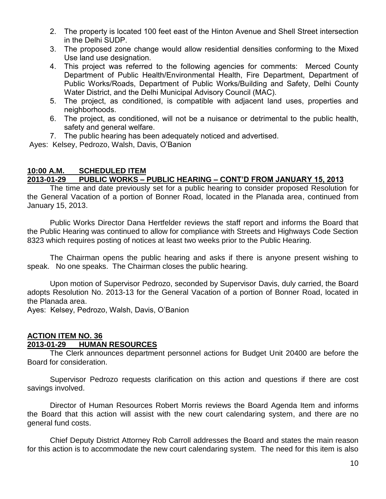- 2. The property is located 100 feet east of the Hinton Avenue and Shell Street intersection in the Delhi SUDP.
- 3. The proposed zone change would allow residential densities conforming to the Mixed Use land use designation.
- 4. This project was referred to the following agencies for comments: Merced County Department of Public Health/Environmental Health, Fire Department, Department of Public Works/Roads, Department of Public Works/Building and Safety, Delhi County Water District, and the Delhi Municipal Advisory Council (MAC).
- 5. The project, as conditioned, is compatible with adjacent land uses, properties and neighborhoods.
- 6. The project, as conditioned, will not be a nuisance or detrimental to the public health, safety and general welfare.
- 7. The public hearing has been adequately noticed and advertised.

Ayes: Kelsey, Pedrozo, Walsh, Davis, O'Banion

#### **10:00 A.M. SCHEDULED ITEM 2013-01-29 PUBLIC WORKS – PUBLIC HEARING – CONT'D FROM JANUARY 15, 2013**

The time and date previously set for a public hearing to consider proposed Resolution for the General Vacation of a portion of Bonner Road, located in the Planada area, continued from January 15, 2013.

Public Works Director Dana Hertfelder reviews the staff report and informs the Board that the Public Hearing was continued to allow for compliance with Streets and Highways Code Section 8323 which requires posting of notices at least two weeks prior to the Public Hearing.

The Chairman opens the public hearing and asks if there is anyone present wishing to speak. No one speaks. The Chairman closes the public hearing.

Upon motion of Supervisor Pedrozo, seconded by Supervisor Davis, duly carried, the Board adopts Resolution No. 2013-13 for the General Vacation of a portion of Bonner Road, located in the Planada area.

Ayes: Kelsey, Pedrozo, Walsh, Davis, O'Banion

## **ACTION ITEM NO. 36**

## **2013-01-29 HUMAN RESOURCES**

The Clerk announces department personnel actions for Budget Unit 20400 are before the Board for consideration.

Supervisor Pedrozo requests clarification on this action and questions if there are cost savings involved.

Director of Human Resources Robert Morris reviews the Board Agenda Item and informs the Board that this action will assist with the new court calendaring system, and there are no general fund costs.

Chief Deputy District Attorney Rob Carroll addresses the Board and states the main reason for this action is to accommodate the new court calendaring system. The need for this item is also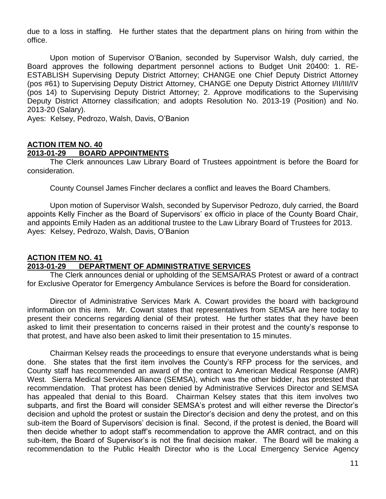due to a loss in staffing. He further states that the department plans on hiring from within the office.

Upon motion of Supervisor O'Banion, seconded by Supervisor Walsh, duly carried, the Board approves the following department personnel actions to Budget Unit 20400: 1. RE-ESTABLISH Supervising Deputy District Attorney; CHANGE one Chief Deputy District Attorney (pos #61) to Supervising Deputy District Attorney, CHANGE one Deputy District Attorney I/II/III/IV (pos 14) to Supervising Deputy District Attorney; 2. Approve modifications to the Supervising Deputy District Attorney classification; and adopts Resolution No. 2013-19 (Position) and No. 2013-20 (Salary).

Ayes: Kelsey, Pedrozo, Walsh, Davis, O'Banion

#### **ACTION ITEM NO. 40 2013-01-29 BOARD APPOINTMENTS**

The Clerk announces Law Library Board of Trustees appointment is before the Board for consideration.

County Counsel James Fincher declares a conflict and leaves the Board Chambers.

Upon motion of Supervisor Walsh, seconded by Supervisor Pedrozo, duly carried, the Board appoints Kelly Fincher as the Board of Supervisors' ex officio in place of the County Board Chair, and appoints Emily Haden as an additional trustee to the Law Library Board of Trustees for 2013. Ayes: Kelsey, Pedrozo, Walsh, Davis, O'Banion

#### **ACTION ITEM NO. 41 2013-01-29 DEPARTMENT OF ADMINISTRATIVE SERVICES**

The Clerk announces denial or upholding of the SEMSA/RAS Protest or award of a contract for Exclusive Operator for Emergency Ambulance Services is before the Board for consideration.

Director of Administrative Services Mark A. Cowart provides the board with background information on this item. Mr. Cowart states that representatives from SEMSA are here today to present their concerns regarding denial of their protest. He further states that they have been asked to limit their presentation to concerns raised in their protest and the county's response to that protest, and have also been asked to limit their presentation to 15 minutes.

Chairman Kelsey reads the proceedings to ensure that everyone understands what is being done. She states that the first item involves the County's RFP process for the services, and County staff has recommended an award of the contract to American Medical Response (AMR) West. Sierra Medical Services Alliance (SEMSA), which was the other bidder, has protested that recommendation. That protest has been denied by Administrative Services Director and SEMSA has appealed that denial to this Board. Chairman Kelsey states that this item involves two subparts, and first the Board will consider SEMSA's protest and will either reverse the Director's decision and uphold the protest or sustain the Director's decision and deny the protest, and on this sub-item the Board of Supervisors' decision is final. Second, if the protest is denied, the Board will then decide whether to adopt staff's recommendation to approve the AMR contract, and on this sub-item, the Board of Supervisor's is not the final decision maker. The Board will be making a recommendation to the Public Health Director who is the Local Emergency Service Agency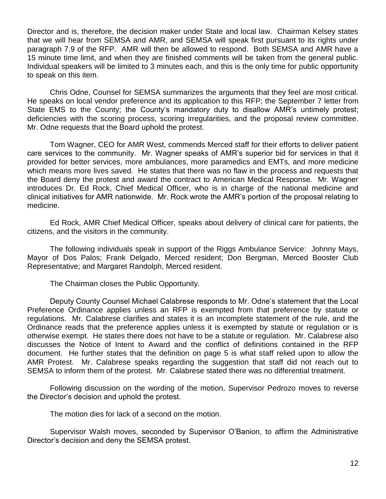Director and is, therefore, the decision maker under State and local law. Chairman Kelsey states that we will hear from SEMSA and AMR, and SEMSA will speak first pursuant to its rights under paragraph 7.9 of the RFP. AMR will then be allowed to respond. Both SEMSA and AMR have a 15 minute time limit, and when they are finished comments will be taken from the general public. Individual speakers will be limited to 3 minutes each, and this is the only time for public opportunity to speak on this item.

Chris Odne, Counsel for SEMSA summarizes the arguments that they feel are most critical. He speaks on local vendor preference and its application to this RFP; the September 7 letter from State EMS to the County; the County's mandatory duty to disallow AMR's untimely protest; deficiencies with the scoring process, scoring irregularities, and the proposal review committee. Mr. Odne requests that the Board uphold the protest.

Tom Wagner, CEO for AMR West, commends Merced staff for their efforts to deliver patient care services to the community. Mr. Wagner speaks of AMR's superior bid for services in that it provided for better services, more ambulances, more paramedics and EMTs, and more medicine which means more lives saved. He states that there was no flaw in the process and requests that the Board deny the protest and award the contract to American Medical Response. Mr. Wagner introduces Dr. Ed Rock, Chief Medical Officer, who is in charge of the national medicine and clinical initiatives for AMR nationwide. Mr. Rock wrote the AMR's portion of the proposal relating to medicine.

Ed Rock, AMR Chief Medical Officer, speaks about delivery of clinical care for patients, the citizens, and the visitors in the community.

The following individuals speak in support of the Riggs Ambulance Service: Johnny Mays, Mayor of Dos Palos; Frank Delgado, Merced resident; Don Bergman, Merced Booster Club Representative; and Margaret Randolph, Merced resident.

The Chairman closes the Public Opportunity.

Deputy County Counsel Michael Calabrese responds to Mr. Odne's statement that the Local Preference Ordinance applies unless an RFP is exempted from that preference by statute or regulations. Mr. Calabrese clarifies and states it is an incomplete statement of the rule, and the Ordinance reads that the preference applies unless it is exempted by statute or regulation or is otherwise exempt. He states there does not have to be a statute or regulation. Mr. Calabrese also discusses the Notice of Intent to Award and the conflict of definitions contained in the RFP document. He further states that the definition on page 5 is what staff relied upon to allow the AMR Protest. Mr. Calabrese speaks regarding the suggestion that staff did not reach out to SEMSA to inform them of the protest. Mr. Calabrese stated there was no differential treatment.

Following discussion on the wording of the motion, Supervisor Pedrozo moves to reverse the Director's decision and uphold the protest.

The motion dies for lack of a second on the motion.

Supervisor Walsh moves, seconded by Supervisor O'Banion, to affirm the Administrative Director's decision and deny the SEMSA protest.